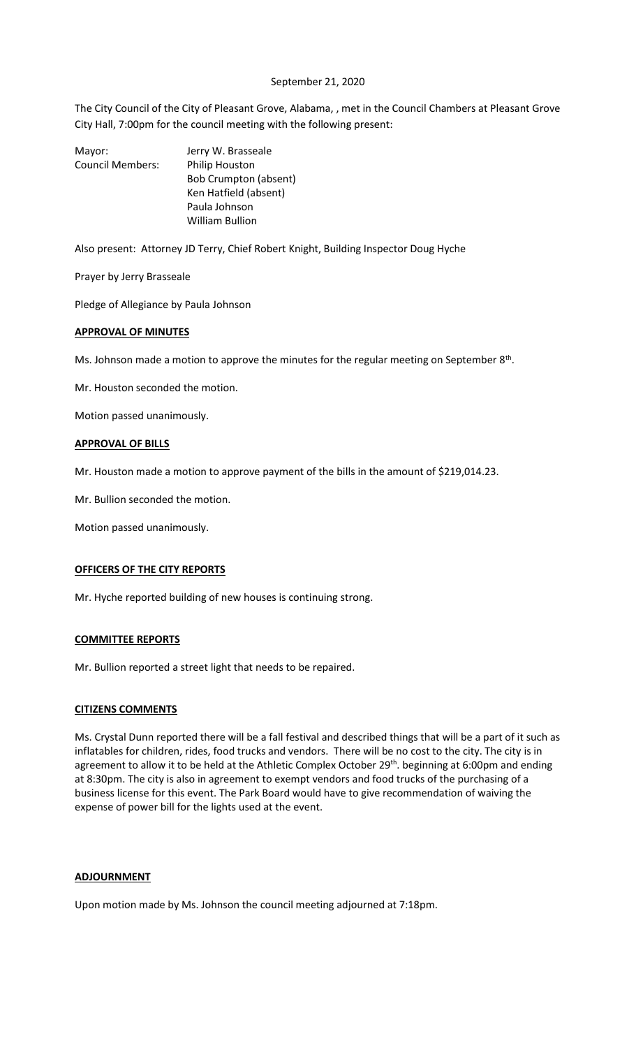# September 21, 2020

The City Council of the City of Pleasant Grove, Alabama, , met in the Council Chambers at Pleasant Grove City Hall, 7:00pm for the council meeting with the following present:

| Mayor:                  | Jerry W. Brasseale           |
|-------------------------|------------------------------|
| <b>Council Members:</b> | Philip Houston               |
|                         | <b>Bob Crumpton (absent)</b> |
|                         | Ken Hatfield (absent)        |
|                         | Paula Johnson                |
|                         | <b>William Bullion</b>       |
|                         |                              |

Also present: Attorney JD Terry, Chief Robert Knight, Building Inspector Doug Hyche

Prayer by Jerry Brasseale

Pledge of Allegiance by Paula Johnson

### **APPROVAL OF MINUTES**

Ms. Johnson made a motion to approve the minutes for the regular meeting on September  $8<sup>th</sup>$ .

Mr. Houston seconded the motion.

Motion passed unanimously.

## **APPROVAL OF BILLS**

Mr. Houston made a motion to approve payment of the bills in the amount of \$219,014.23.

Mr. Bullion seconded the motion.

Motion passed unanimously.

## **OFFICERS OF THE CITY REPORTS**

Mr. Hyche reported building of new houses is continuing strong.

### **COMMITTEE REPORTS**

Mr. Bullion reported a street light that needs to be repaired.

### **CITIZENS COMMENTS**

Ms. Crystal Dunn reported there will be a fall festival and described things that will be a part of it such as inflatables for children, rides, food trucks and vendors. There will be no cost to the city. The city is in agreement to allow it to be held at the Athletic Complex October 29<sup>th</sup>. beginning at 6:00pm and ending at 8:30pm. The city is also in agreement to exempt vendors and food trucks of the purchasing of a business license for this event. The Park Board would have to give recommendation of waiving the expense of power bill for the lights used at the event.

# **ADJOURNMENT**

Upon motion made by Ms. Johnson the council meeting adjourned at 7:18pm.